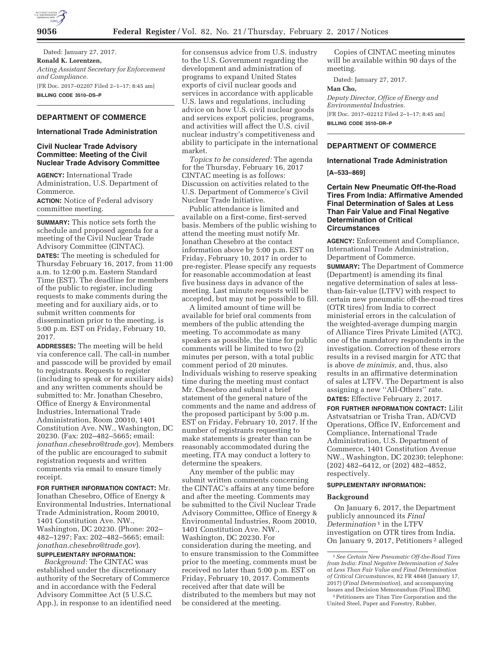

Dated: January 27, 2017. **Ronald K. Lorentzen,**  *Acting Assistant Secretary for Enforcement and Compliance.*  [FR Doc. 2017–02207 Filed 2–1–17; 8:45 am] **BILLING CODE 3510–DS–P** 

# **DEPARTMENT OF COMMERCE**

#### **International Trade Administration**

#### **Civil Nuclear Trade Advisory Committee: Meeting of the Civil Nuclear Trade Advisory Committee**

**AGENCY:** International Trade Administration, U.S. Department of Commerce.

**ACTION:** Notice of Federal advisory committee meeting.

**SUMMARY:** This notice sets forth the schedule and proposed agenda for a meeting of the Civil Nuclear Trade Advisory Committee (CINTAC). **DATES:** The meeting is scheduled for Thursday February 16, 2017, from 11:00 a.m. to 12:00 p.m. Eastern Standard Time (EST). The deadline for members of the public to register, including requests to make comments during the meeting and for auxiliary aids, or to submit written comments for dissemination prior to the meeting, is 5:00 p.m. EST on Friday, February 10, 2017.

**ADDRESSES:** The meeting will be held via conference call. The call-in number and passcode will be provided by email to registrants. Requests to register (including to speak or for auxiliary aids) and any written comments should be submitted to: Mr. Jonathan Chesebro, Office of Energy & Environmental Industries, International Trade Administration, Room 20010, 1401 Constitution Ave. NW., Washington, DC 20230. (Fax: 202–482–5665; email: *jonathan.chesebro@trade.gov*). Members of the public are encouraged to submit registration requests and written comments via email to ensure timely receipt.

**FOR FURTHER INFORMATION CONTACT:** Mr. Jonathan Chesebro, Office of Energy & Environmental Industries, International Trade Administration, Room 20010, 1401 Constitution Ave. NW., Washington, DC 20230. (Phone: 202– 482–1297; Fax: 202–482–5665; email: *jonathan.chesebro@trade.gov*).

# **SUPPLEMENTARY INFORMATION:**

*Background:* The CINTAC was established under the discretionary authority of the Secretary of Commerce and in accordance with the Federal Advisory Committee Act (5 U.S.C. App.), in response to an identified need

for consensus advice from U.S. industry to the U.S. Government regarding the development and administration of programs to expand United States exports of civil nuclear goods and services in accordance with applicable U.S. laws and regulations, including advice on how U.S. civil nuclear goods and services export policies, programs, and activities will affect the U.S. civil nuclear industry's competitiveness and ability to participate in the international market.

*Topics to be considered:* The agenda for the Thursday, February 16, 2017 CINTAC meeting is as follows: Discussion on activities related to the U.S. Department of Commerce's Civil Nuclear Trade Initiative.

Public attendance is limited and available on a first-come, first-served basis. Members of the public wishing to attend the meeting must notify Mr. Jonathan Chesebro at the contact information above by 5:00 p.m. EST on Friday, February 10, 2017 in order to pre-register. Please specify any requests for reasonable accommodation at least five business days in advance of the meeting. Last minute requests will be accepted, but may not be possible to fill.

A limited amount of time will be available for brief oral comments from members of the public attending the meeting. To accommodate as many speakers as possible, the time for public comments will be limited to two (2) minutes per person, with a total public comment period of 20 minutes. Individuals wishing to reserve speaking time during the meeting must contact Mr. Chesebro and submit a brief statement of the general nature of the comments and the name and address of the proposed participant by 5:00 p.m. EST on Friday, February 10, 2017. If the number of registrants requesting to make statements is greater than can be reasonably accommodated during the meeting, ITA may conduct a lottery to determine the speakers.

Any member of the public may submit written comments concerning the CINTAC's affairs at any time before and after the meeting. Comments may be submitted to the Civil Nuclear Trade Advisory Committee, Office of Energy & Environmental Industries, Room 20010, 1401 Constitution Ave. NW., Washington, DC 20230. For consideration during the meeting, and to ensure transmission to the Committee prior to the meeting, comments must be received no later than 5:00 p.m. EST on Friday, February 10, 2017. Comments received after that date will be distributed to the members but may not be considered at the meeting.

Copies of CINTAC meeting minutes will be available within 90 days of the meeting.

Dated: January 27, 2017.

#### **Man Cho,**

*Deputy Director, Office of Energy and Environmental Industries.*  [FR Doc. 2017–02212 Filed 2–1–17; 8:45 am] **BILLING CODE 3510–DR–P** 

# **DEPARTMENT OF COMMERCE**

# **International Trade Administration**

**[A–533–869]** 

### **Certain New Pneumatic Off-the-Road Tires From India: Affirmative Amended Final Determination of Sales at Less Than Fair Value and Final Negative Determination of Critical Circumstances**

**AGENCY:** Enforcement and Compliance, International Trade Administration, Department of Commerce.

**SUMMARY:** The Department of Commerce (Department) is amending its final negative determination of sales at lessthan-fair-value (LTFV) with respect to certain new pneumatic off-the-road tires (OTR tires) from India to correct ministerial errors in the calculation of the weighted-average dumping margin of Alliance Tires Private Limited (ATC), one of the mandatory respondents in the investigation. Correction of these errors results in a revised margin for ATC that is above *de minimis,* and, thus, also results in an affirmative determination of sales at LTFV. The Department is also assigning a new ''All-Others'' rate. **DATES:** Effective February 2, 2017.

**FOR FURTHER INFORMATION CONTACT:** Lilit Astvatsatrian or Trisha Tran, AD/CVD Operations, Office IV, Enforcement and Compliance, International Trade Administration, U.S. Department of Commerce, 1401 Constitution Avenue NW., Washington, DC 20230; telephone: (202) 482–6412, or (202) 482–4852, respectively.

# **SUPPLEMENTARY INFORMATION:**

#### **Background**

On January 6, 2017, the Department publicly announced its *Final Determination* 1 in the LTFV investigation on OTR tires from India. On January 9, 2017, Petitioners 2 alleged

2Petitioners are Titan Tire Corporation and the United Steel, Paper and Forestry, Rubber,

<sup>1</sup>*See Certain New Pneumatic Off-the-Road Tires from India: Final Negative Determination of Sales at Less Than Fair Value and Final Determination of Critical Circumstances,* 82 FR 4848 (January 17, 2017) (*Final Determination*), and accompanying Issues and Decision Memorandum (Final IDM).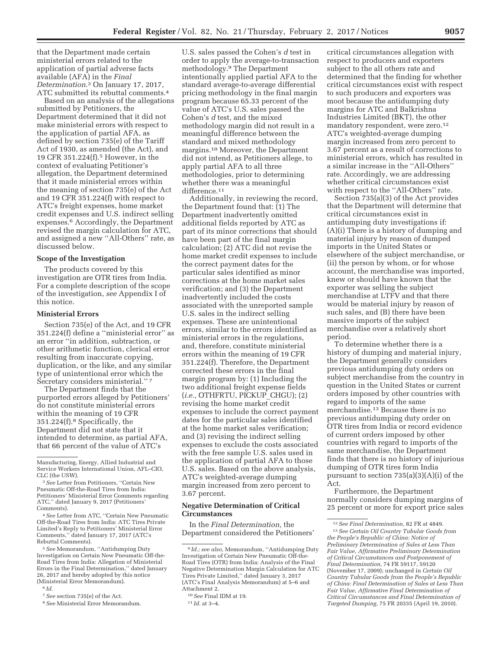that the Department made certain ministerial errors related to the application of partial adverse facts available (AFA) in the *Final Determination.*3 On January 17, 2017, ATC submitted its rebuttal comments.4

Based on an analysis of the allegations submitted by Petitioners, the Department determined that it did not make ministerial errors with respect to the application of partial AFA, as defined by section 735(e) of the Tariff Act of 1930, as amended (the Act), and 19 CFR 351.224(f).5 However, in the context of evaluating Petitioner's allegation, the Department determined that it made ministerial errors within the meaning of section 735(e) of the Act and 19 CFR 351.224(f) with respect to ATC's freight expenses, home market credit expenses and U.S. indirect selling expenses.6 Accordingly, the Department revised the margin calculation for ATC, and assigned a new ''All-Others'' rate, as discussed below.

#### **Scope of the Investigation**

The products covered by this investigation are OTR tires from India. For a complete description of the scope of the investigation, *see* Appendix I of this notice.

### **Ministerial Errors**

Section 735(e) of the Act, and 19 CFR 351.224(f) define a ''ministerial error'' as an error ''in addition, subtraction, or other arithmetic function, clerical error resulting from inaccurate copying, duplication, or the like, and any similar type of unintentional error which the Secretary considers ministerial.'' 7

The Department finds that the purported errors alleged by Petitioners' do not constitute ministerial errors within the meaning of 19 CFR 351.224(f).8 Specifically, the Department did not state that it intended to determine, as partial AFA, that 66 percent of the value of ATC's

3*See* Letter from Petitioners, ''Certain New Pneumatic Off-the-Road Tires from India: Petitioners' Ministerial Error Comments regarding ATC,'' dated January 9, 2017 (Petitioners' Comments).

4*See* Letter from ATC, ''Certain New Pneumatic Off-the-Road Tires from India: ATC Tires Private Limited's Reply to Petitioners' Ministerial Error Comments,'' dated January 17, 2017 (ATC's Rebuttal Comments).

5*See* Memorandum, ''Antidumping Duty Investigation on Certain New Pneumatic Off-the-Road Tires from India: Allegation of Ministerial Errors in the Final Determination,'' dated January 26, 2017 and hereby adopted by this notice (Ministerial Error Memorandum).

6 *Id.* 

U.S. sales passed the Cohen's *d* test in order to apply the average-to-transaction methodology.9 The Department intentionally applied partial AFA to the standard average-to-average differential pricing methodology in the final margin program because 65.33 percent of the value of ATC's U.S. sales passed the Cohen's *d* test, and the mixed methodology margin did not result in a meaningful difference between the standard and mixed methodology margins.10 Moreover, the Department did not intend, as Petitioners allege, to apply partial AFA to all three methodologies, prior to determining whether there was a meaningful difference.<sup>11</sup>

Additionally, in reviewing the record, the Department found that: (1) The Department inadvertently omitted additional fields reported by ATC as part of its minor corrections that should have been part of the final margin calculation; (2) ATC did not revise the home market credit expenses to include the correct payment dates for the particular sales identified as minor corrections at the home market sales verification; and (3) the Department inadvertently included the costs associated with the unreported sample U.S. sales in the indirect selling expenses. These are unintentional errors, similar to the errors identified as ministerial errors in the regulations, and, therefore, constitute ministerial errors within the meaning of 19 CFR 351.224(f). Therefore, the Department corrected these errors in the final margin program by: (1) Including the two additional freight expense fields (*i.e.,* OTHFRTU, PICKUP\_CHGU); (2) revising the home market credit expenses to include the correct payment dates for the particular sales identified at the home market sales verification; and (3) revising the indirect selling expenses to exclude the costs associated with the free sample U.S. sales used in the application of partial AFA to those U.S. sales. Based on the above analysis, ATC's weighted-average dumping margin increased from zero percent to 3.67 percent.

### **Negative Determination of Critical Circumstances**

In the *Final Determination,* the Department considered the Petitioners'

critical circumstances allegation with respect to producers and exporters subject to the all others rate and determined that the finding for whether critical circumstances exist with respect to such producers and exporters was moot because the antidumping duty margins for ATC and Balkrishna Industries Limited (BKT), the other mandatory respondent, were zero.12 ATC's weighted-average dumping margin increased from zero percent to 3.67 percent as a result of corrections to ministerial errors, which has resulted in a similar increase in the ''All-Others'' rate. Accordingly, we are addressing whether critical circumstances exist with respect to the ''All-Others'' rate.

Section 735(a)(3) of the Act provides that the Department will determine that critical circumstances exist in antidumping duty investigations if: (A)(i) There is a history of dumping and material injury by reason of dumped imports in the United States or elsewhere of the subject merchandise, or (ii) the person by whom, or for whose account, the merchandise was imported, knew or should have known that the exporter was selling the subject merchandise at LTFV and that there would be material injury by reason of such sales, and (B) there have been massive imports of the subject merchandise over a relatively short period.

To determine whether there is a history of dumping and material injury, the Department generally considers previous antidumping duty orders on subject merchandise from the country in question in the United States or current orders imposed by other countries with regard to imports of the same merchandise.13 Because there is no previous antidumping duty order on OTR tires from India or record evidence of current orders imposed by other countries with regard to imports of the same merchandise, the Department finds that there is no history of injurious dumping of OTR tires form India pursuant to section 735(a)(3)(A)(i) of the Act.

Furthermore, the Department normally considers dumping margins of 25 percent or more for export price sales

Manufacturing, Energy, Allied Industrial and Service Workers International Union, AFL–CIO, CLC (the USW).

<sup>7</sup>*See* section 735(e) of the Act.

<sup>8</sup>*See* Ministerial Error Memorandum.

<sup>9</sup> *Id.; see also,* Memorandum, ''Antidumping Duty Investigation of Certain New Pneumatic Off-the-Road Tires (OTR) from India: Analysis of the Final Negative Determination Margin Calculation for ATC Tires Private Limited,'' dated January 3, 2017 (ATC's Final Analysis Memorandum) at 5–6 and Attachment 2.

<sup>10</sup>*See* Final IDM at 19.

<sup>11</sup> *Id.* at 3–4.

<sup>12</sup>*See Final Determination,* 82 FR at 4849.

<sup>13</sup>*See Certain Oil Country Tubular Goods from the People's Republic of China: Notice of Preliminary Determination of Sales at Less Than Fair Value, Affirmative Preliminary Determination of Critical Circumstances and Postponement of Final Determination,* 74 FR 59117, 59120 (November 17, 2009); unchanged in *Certain Oil Country Tubular Goods from the People's Republic of China: Final Determination of Sales at Less Than Fair Value, Affirmative Final Determination of Critical Circumstances and Final Determination of Targeted Dumping,* 75 FR 20335 (April 19, 2010).